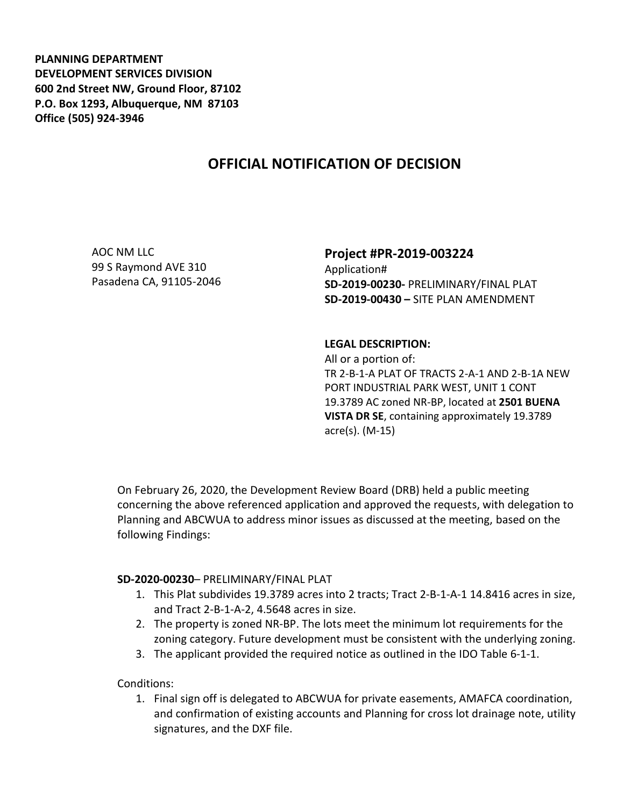**PLANNING DEPARTMENT DEVELOPMENT SERVICES DIVISION 600 2nd Street NW, Ground Floor, 87102 P.O. Box 1293, Albuquerque, NM 87103 Office (505) 924-3946** 

# **OFFICIAL NOTIFICATION OF DECISION**

AOC NM LLC 99 S Raymond AVE 310 Pasadena CA, 91105-2046

## **Project #PR-2019-003224** Application#

**SD-2019-00230-** PRELIMINARY/FINAL PLAT **SD-2019-00430 –** SITE PLAN AMENDMENT

#### **LEGAL DESCRIPTION:**

All or a portion of: TR 2-B-1-A PLAT OF TRACTS 2-A-1 AND 2-B-1A NEW PORT INDUSTRIAL PARK WEST, UNIT 1 CONT 19.3789 AC zoned NR-BP, located at **2501 BUENA VISTA DR SE**, containing approximately 19.3789 acre(s). (M-15)

On February 26, 2020, the Development Review Board (DRB) held a public meeting concerning the above referenced application and approved the requests, with delegation to Planning and ABCWUA to address minor issues as discussed at the meeting, based on the following Findings:

### **SD-2020-00230**– PRELIMINARY/FINAL PLAT

- 1. This Plat subdivides 19.3789 acres into 2 tracts; Tract 2-B-1-A-1 14.8416 acres in size, and Tract 2-B-1-A-2, 4.5648 acres in size.
- 2. The property is zoned NR-BP. The lots meet the minimum lot requirements for the zoning category. Future development must be consistent with the underlying zoning.
- 3. The applicant provided the required notice as outlined in the IDO Table 6-1-1.

Conditions:

1. Final sign off is delegated to ABCWUA for private easements, AMAFCA coordination, and confirmation of existing accounts and Planning for cross lot drainage note, utility signatures, and the DXF file.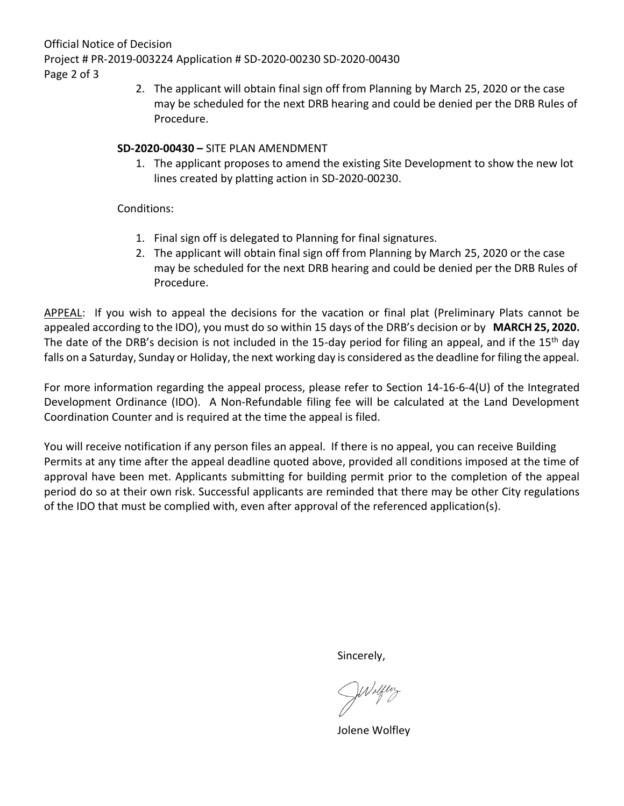Official Notice of Decision Project # PR-2019-003224 Application # SD-2020-00230 SD-2020-00430 Page 2 of 3

> 2. The applicant will obtain final sign off from Planning by March 25, 2020 or the case may be scheduled for the next DRB hearing and could be denied per the DRB Rules of Procedure.

## **SD-2020-00430 –** SITE PLAN AMENDMENT

1. The applicant proposes to amend the existing Site Development to show the new lot lines created by platting action in SD-2020-00230.

## Conditions:

- 1. Final sign off is delegated to Planning for final signatures.
- 2. The applicant will obtain final sign off from Planning by March 25, 2020 or the case may be scheduled for the next DRB hearing and could be denied per the DRB Rules of Procedure.

APPEAL: If you wish to appeal the decisions for the vacation or final plat (Preliminary Plats cannot be appealed according to the IDO), you must do so within 15 days of the DRB's decision or by **MARCH 25, 2020.**  The date of the DRB's decision is not included in the 15-day period for filing an appeal, and if the 15<sup>th</sup> day falls on a Saturday, Sunday or Holiday, the next working day is considered as the deadline for filing the appeal.

For more information regarding the appeal process, please refer to Section 14-16-6-4(U) of the Integrated Development Ordinance (IDO). A Non-Refundable filing fee will be calculated at the Land Development Coordination Counter and is required at the time the appeal is filed.

You will receive notification if any person files an appeal. If there is no appeal, you can receive Building Permits at any time after the appeal deadline quoted above, provided all conditions imposed at the time of approval have been met. Applicants submitting for building permit prior to the completion of the appeal period do so at their own risk. Successful applicants are reminded that there may be other City regulations of the IDO that must be complied with, even after approval of the referenced application(s).

Sincerely,

Walflery

Jolene Wolfley